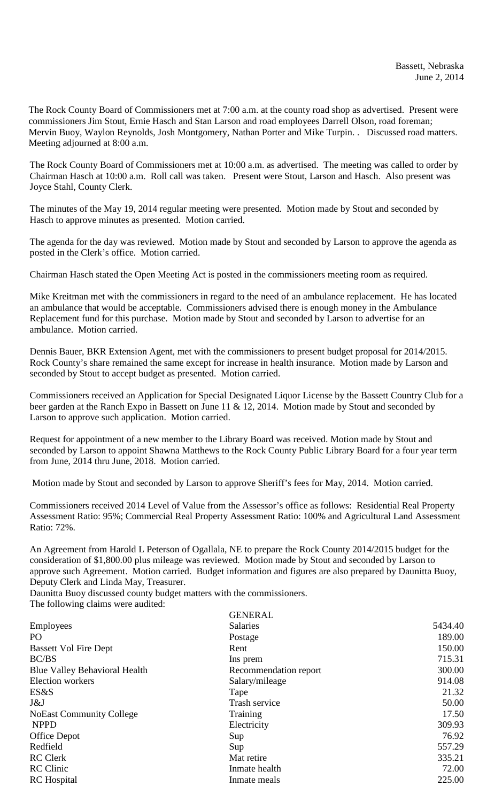The Rock County Board of Commissioners met at 7:00 a.m. at the county road shop as advertised. Present were commissioners Jim Stout, Ernie Hasch and Stan Larson and road employees Darrell Olson, road foreman; Mervin Buoy, Waylon Reynolds, Josh Montgomery, Nathan Porter and Mike Turpin. . Discussed road matters. Meeting adjourned at 8:00 a.m.

The Rock County Board of Commissioners met at 10:00 a.m. as advertised. The meeting was called to order by Chairman Hasch at 10:00 a.m. Roll call was taken. Present were Stout, Larson and Hasch. Also present was Joyce Stahl, County Clerk.

The minutes of the May 19, 2014 regular meeting were presented. Motion made by Stout and seconded by Hasch to approve minutes as presented. Motion carried.

The agenda for the day was reviewed. Motion made by Stout and seconded by Larson to approve the agenda as posted in the Clerk's office. Motion carried.

Chairman Hasch stated the Open Meeting Act is posted in the commissioners meeting room as required.

Mike Kreitman met with the commissioners in regard to the need of an ambulance replacement. He has located an ambulance that would be acceptable. Commissioners advised there is enough money in the Ambulance Replacement fund for this purchase. Motion made by Stout and seconded by Larson to advertise for an ambulance. Motion carried.

Dennis Bauer, BKR Extension Agent, met with the commissioners to present budget proposal for 2014/2015. Rock County's share remained the same except for increase in health insurance. Motion made by Larson and seconded by Stout to accept budget as presented. Motion carried.

Commissioners received an Application for Special Designated Liquor License by the Bassett Country Club for a beer garden at the Ranch Expo in Bassett on June 11 & 12, 2014. Motion made by Stout and seconded by Larson to approve such application. Motion carried.

Request for appointment of a new member to the Library Board was received. Motion made by Stout and seconded by Larson to appoint Shawna Matthews to the Rock County Public Library Board for a four year term from June, 2014 thru June, 2018. Motion carried.

Motion made by Stout and seconded by Larson to approve Sheriff's fees for May, 2014. Motion carried.

Commissioners received 2014 Level of Value from the Assessor's office as follows: Residential Real Property Assessment Ratio: 95%; Commercial Real Property Assessment Ratio: 100% and Agricultural Land Assessment Ratio: 72%.

An Agreement from Harold L Peterson of Ogallala, NE to prepare the Rock County 2014/2015 budget for the consideration of \$1,800.00 plus mileage was reviewed. Motion made by Stout and seconded by Larson to approve such Agreement. Motion carried. Budget information and figures are also prepared by Daunitta Buoy, Deputy Clerk and Linda May, Treasurer.

Daunitta Buoy discussed county budget matters with the commissioners.

The following claims were audited:

|                                      | <b>GENERAL</b>        |         |
|--------------------------------------|-----------------------|---------|
| Employees                            | <b>Salaries</b>       | 5434.40 |
| P <sub>O</sub>                       | Postage               | 189.00  |
| <b>Bassett Vol Fire Dept</b>         | Rent                  | 150.00  |
| BC/BS                                | Ins prem              | 715.31  |
| <b>Blue Valley Behavioral Health</b> | Recommendation report | 300.00  |
| Election workers                     | Salary/mileage        | 914.08  |
| ES&S                                 | Tape                  | 21.32   |
| J&J                                  | Trash service         | 50.00   |
| <b>NoEast Community College</b>      | Training              | 17.50   |
| <b>NPPD</b>                          | Electricity           | 309.93  |
| Office Depot                         | Sup                   | 76.92   |
| Redfield                             | Sup                   | 557.29  |
| <b>RC</b> Clerk                      | Mat retire            | 335.21  |
| <b>RC</b> Clinic                     | Inmate health         | 72.00   |
| <b>RC</b> Hospital                   | Inmate meals          | 225.00  |